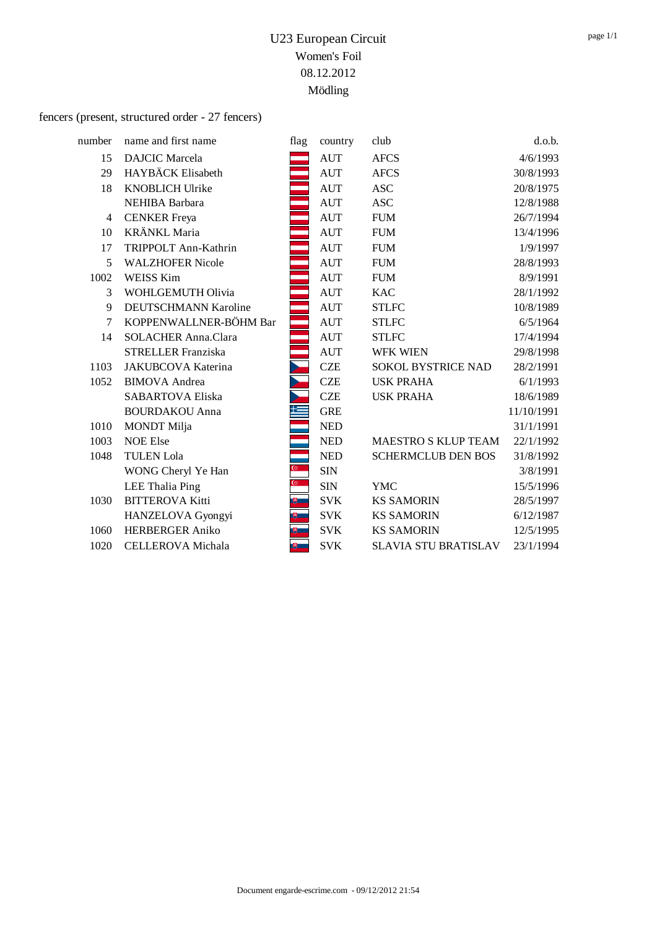#### fencers (present, structured order - 27 fencers)

| number | name and first name         | flag          | country    | club                        | d.o.b.     |
|--------|-----------------------------|---------------|------------|-----------------------------|------------|
| 15     | <b>DAJCIC</b> Marcela       |               | <b>AUT</b> | <b>AFCS</b>                 | 4/6/1993   |
| 29     | HAYBÄCK Elisabeth           |               | <b>AUT</b> | <b>AFCS</b>                 | 30/8/1993  |
| 18     | <b>KNOBLICH Ulrike</b>      |               | <b>AUT</b> | <b>ASC</b>                  | 20/8/1975  |
|        | NEHIBA Barbara              |               | <b>AUT</b> | <b>ASC</b>                  | 12/8/1988  |
| 4      | <b>CENKER</b> Freya         |               | <b>AUT</b> | <b>FUM</b>                  | 26/7/1994  |
| 10     | KRÄNKL Maria                |               | <b>AUT</b> | <b>FUM</b>                  | 13/4/1996  |
| 17     | TRIPPOLT Ann-Kathrin        |               | <b>AUT</b> | <b>FUM</b>                  | 1/9/1997   |
| 5      | <b>WALZHOFER Nicole</b>     |               | <b>AUT</b> | <b>FUM</b>                  | 28/8/1993  |
| 1002   | <b>WEISS Kim</b>            |               | <b>AUT</b> | <b>FUM</b>                  | 8/9/1991   |
| 3      | WOHLGEMUTH Olivia           |               | <b>AUT</b> | <b>KAC</b>                  | 28/1/1992  |
| 9      | <b>DEUTSCHMANN Karoline</b> |               | <b>AUT</b> | <b>STLFC</b>                | 10/8/1989  |
| 7      | KOPPENWALLNER-BÖHM Bar      |               | <b>AUT</b> | <b>STLFC</b>                | 6/5/1964   |
| 14     | <b>SOLACHER Anna.Clara</b>  |               | <b>AUT</b> | <b>STLFC</b>                | 17/4/1994  |
|        | <b>STRELLER Franziska</b>   |               | <b>AUT</b> | WFK WIEN                    | 29/8/1998  |
| 1103   | JAKUBCOVA Katerina          |               | <b>CZE</b> | SOKOL BYSTRICE NAD          | 28/2/1991  |
| 1052   | <b>BIMOVA</b> Andrea        |               | <b>CZE</b> | <b>USK PRAHA</b>            | 6/1/1993   |
|        | <b>SABARTOVA Eliska</b>     |               | <b>CZE</b> | <b>USK PRAHA</b>            | 18/6/1989  |
|        | <b>BOURDAKOU Anna</b>       |               | <b>GRE</b> |                             | 11/10/1991 |
| 1010   | <b>MONDT</b> Milja          |               | <b>NED</b> |                             | 31/1/1991  |
| 1003   | <b>NOE Else</b>             |               | <b>NED</b> | <b>MAESTRO S KLUP TEAM</b>  | 22/1/1992  |
| 1048   | <b>TULEN Lola</b>           |               | <b>NED</b> | <b>SCHERMCLUB DEN BOS</b>   | 31/8/1992  |
|        | WONG Cheryl Ye Han          | $\mathcal{C}$ | <b>SIN</b> |                             | 3/8/1991   |
|        | LEE Thalia Ping             | $\omega$      | <b>SIN</b> | <b>YMC</b>                  | 15/5/1996  |
| 1030   | <b>BITTEROVA Kitti</b>      | $\mathbb{B}$  | <b>SVK</b> | <b>KS SAMORIN</b>           | 28/5/1997  |
|        | HANZELOVA Gyongyi           |               | <b>SVK</b> | <b>KS SAMORIN</b>           | 6/12/1987  |
| 1060   | <b>HERBERGER Aniko</b>      |               | <b>SVK</b> | <b>KS SAMORIN</b>           | 12/5/1995  |
| 1020   | CELLEROVA Michala           | 博二            | <b>SVK</b> | <b>SLAVIA STU BRATISLAV</b> | 23/1/1994  |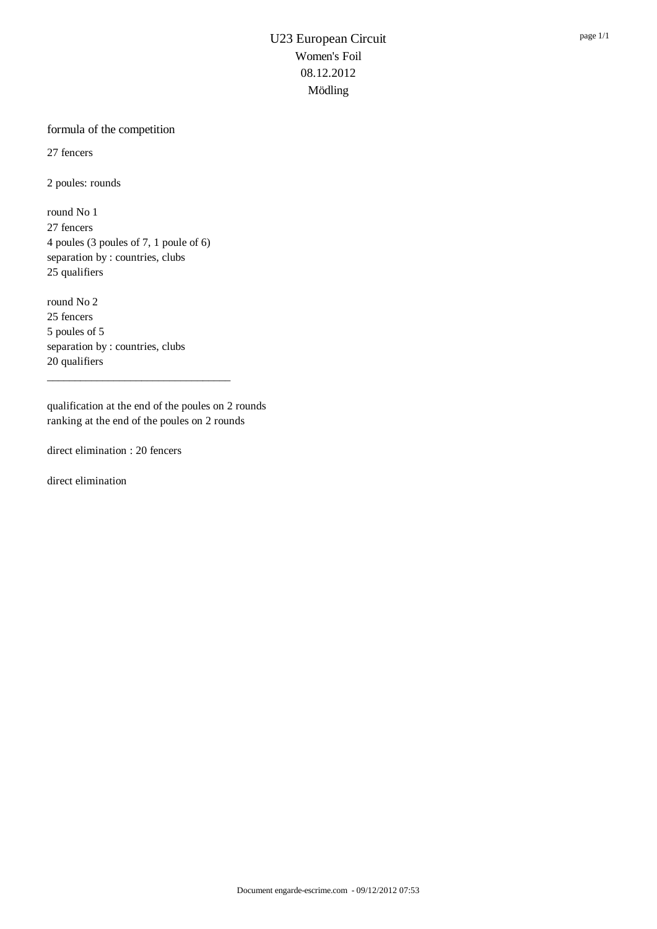#### formula of the competition

27 fencers

2 poules: rounds

round No 1 27 fencers 4 poules (3 poules of 7, 1 poule of 6) separation by : countries, clubs 25 qualifiers

round No 2 25 fencers 5 poules of 5 separation by : countries, clubs 20 qualifiers

qualification at the end of the poules on 2 rounds ranking at the end of the poules on 2 rounds

\_\_\_\_\_\_\_\_\_\_\_\_\_\_\_\_\_\_\_\_\_\_\_\_\_\_\_\_\_\_\_\_\_

direct elimination : 20 fencers

direct elimination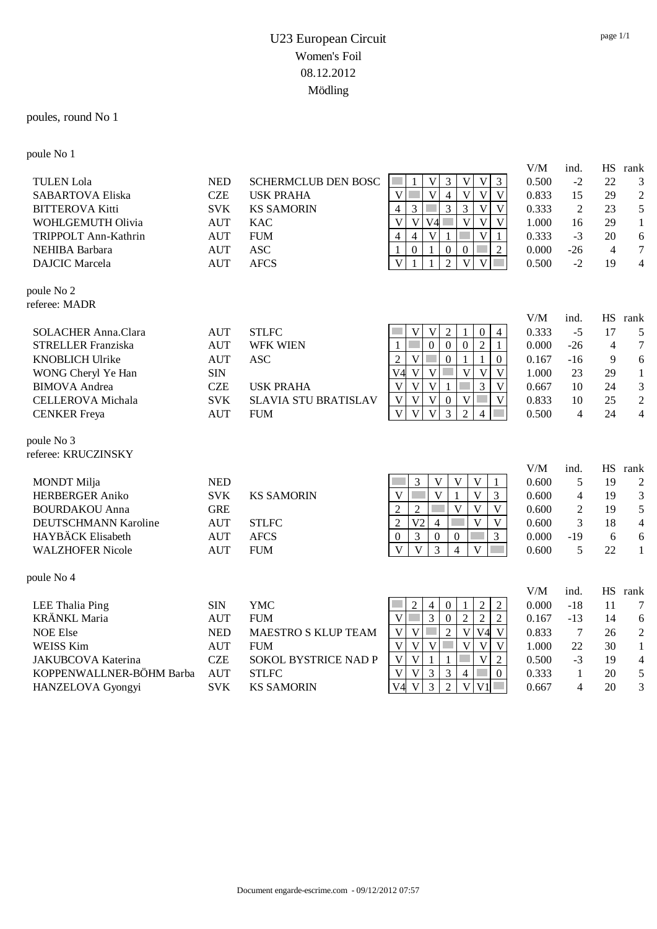#### poules, round No 1

poule No 1

|                            |                             |                             |                                                                                                                                     | V/M          | ind.           | <b>HS</b>       | rank                   |
|----------------------------|-----------------------------|-----------------------------|-------------------------------------------------------------------------------------------------------------------------------------|--------------|----------------|-----------------|------------------------|
| <b>TULEN</b> Lola          | <b>NED</b>                  | <b>SCHERMCLUB DEN BOSC</b>  | $\mathbf V$<br>$\mathfrak{Z}$<br>$\mathbf{V}$<br>$\mathfrak{Z}$<br>V                                                                | 0.500        | $-2$           | 22              | 3                      |
| <b>SABARTOVA Eliska</b>    | <b>CZE</b>                  | <b>USK PRAHA</b>            | $\overline{\mathbf{V}}$<br>$\overline{\mathbf{V}}$<br>$\overline{\mathbf{V}}$<br>$\overline{V}$<br>$\overline{V}$<br>$\overline{4}$ | 0.833        | 15             | 29              | $\overline{c}$         |
| <b>BITTEROVA Kitti</b>     | <b>SVK</b>                  | <b>KS SAMORIN</b>           | 3<br>$\overline{3}$<br>$\bar{V}$<br>$\overline{V}$<br>3<br>$\overline{4}$                                                           | 0.333        | $\overline{2}$ | 23              | 5                      |
| WOHLGEMUTH Olivia          | <b>AUT</b>                  | <b>KAC</b>                  | $\overline{V}$<br>$\mathbf V$<br>$\overline{\mathsf{V}}$<br>$\overline{V}$<br>V <sub>4</sub><br>$\ensuremath{\mathsf{V}}$           | 1.000        | 16             | 29              | $\mathbf{1}$           |
| TRIPPOLT Ann-Kathrin       | <b>AUT</b>                  | <b>FUM</b>                  | $\ensuremath{\mathbf{V}}$<br>$\overline{4}$<br>$\overline{4}$<br>$\mathbf V$<br>1<br>1                                              | 0.333        | $-3$           | 20              | 6                      |
| NEHIBA Barbara             | <b>AUT</b>                  | <b>ASC</b>                  | $\theta$<br>$\boldsymbol{0}$<br>$\mathbf{0}$<br>2<br>1<br>1                                                                         | 0.000        | $-26$          | $\overline{4}$  | $\boldsymbol{7}$       |
| <b>DAJCIC</b> Marcela      | <b>AUT</b>                  | <b>AFCS</b>                 | $\overline{2}$<br>$\overline{\mathsf{V}}$<br>$\mathbf{V}$<br>V<br>$\mathbf{1}$<br>1                                                 | 0.500        | $-2$           | 19              | $\overline{4}$         |
| poule No 2                 |                             |                             |                                                                                                                                     |              |                |                 |                        |
| referee: MADR              |                             |                             |                                                                                                                                     |              |                |                 |                        |
|                            |                             |                             |                                                                                                                                     | V/M          | ind.           |                 | HS rank                |
| <b>SOLACHER Anna.Clara</b> | <b>AUT</b>                  | <b>STLFC</b>                | $\overline{2}$<br>$\overline{4}$<br>$\boldsymbol{0}$<br>V<br>V                                                                      | 0.333        | $-5$           | 17              | 5                      |
| <b>STRELLER Franziska</b>  | <b>AUT</b>                  | <b>WFK WIEN</b>             | $\overline{2}$<br>$\mathbf{0}$<br>$\overline{0}$<br>$\mathbf{0}$<br>$\mathbf{1}$                                                    | 0.000        | $-26$          | $\overline{4}$  | $\tau$                 |
| <b>KNOBLICH Ulrike</b>     | <b>AUT</b>                  | <b>ASC</b>                  | $\overline{\mathbf{V}}$<br>$\boldsymbol{0}$<br>$\overline{2}$<br>$\mathbf{1}$<br>$\boldsymbol{0}$                                   | 0.167        | $-16$          | 9               | 6                      |
| WONG Cheryl Ye Han         | <b>SIN</b>                  |                             | V4<br>$\overline{V}$<br>$\overline{\mathsf{V}}$<br>$\overline{\mathsf{V}}$<br>$\mathbf{V}$<br>$\overline{V}$                        | 1.000        | 23             | 29              | $\mathbf{1}$           |
| <b>BIMOVA</b> Andrea       | <b>CZE</b>                  | <b>USK PRAHA</b>            | 3<br>$\overline{\mathsf{V}}$<br>$\overline{V}$<br>$\overline{\mathsf{V}}$<br>$\overline{\mathbf{V}}$<br>1                           | 0.667        | 10             | 24              | 3                      |
| <b>CELLEROVA</b> Michala   | <b>SVK</b>                  | <b>SLAVIA STU BRATISLAV</b> | $\mathbf V$<br>$\mathbf V$<br>V<br>V<br>$\mathbf{0}$<br>V                                                                           | 0.833        | 10             | 25              | $\overline{2}$         |
| <b>CENKER</b> Freya        | <b>AUT</b>                  | <b>FUM</b>                  | 3<br>$\mathbf V$<br>$\overline{\mathsf{V}}$<br>$\overline{2}$<br>V<br>4                                                             | 0.500        | $\overline{4}$ | 24              | $\overline{4}$         |
| poule No 3                 |                             |                             |                                                                                                                                     |              |                |                 |                        |
| referee: KRUCZINSKY        |                             |                             |                                                                                                                                     |              |                |                 |                        |
| <b>MONDT</b> Milja         | <b>NED</b>                  |                             | $\overline{\mathbf{V}}$<br>$\mathbf{V}$<br>3<br>V<br>1                                                                              | V/M<br>0.600 | ind.<br>5      | <b>HS</b><br>19 | rank<br>$\overline{2}$ |
| <b>HERBERGER Aniko</b>     | <b>SVK</b>                  | <b>KS SAMORIN</b>           | $\overline{\mathsf{V}}$<br>$\overline{\mathbf{V}}$<br>$\overline{\mathbf{V}}$<br>$\mathbf{1}$<br>3                                  | 0.600        | $\overline{4}$ | 19              | $\mathfrak{Z}$         |
| <b>BOURDAKOU</b> Anna      | <b>GRE</b>                  |                             | $\overline{c}$<br>$\overline{\mathbf{V}}$<br>$\overline{2}$<br>$\overline{\mathbf{V}}$<br>$\mathbf V$                               | 0.600        | $\overline{c}$ | 19              | 5                      |
| DEUTSCHMANN Karoline       | <b>AUT</b>                  | <b>STLFC</b>                | $\overline{2}$<br>V <sub>2</sub><br>$\overline{4}$<br>V<br>V                                                                        | 0.600        | 3              | 18              | $\overline{4}$         |
| HAYBÄCK Elisabeth          | <b>AUT</b>                  | <b>AFCS</b>                 | $\mathfrak{Z}$<br>3<br>$\boldsymbol{0}$<br>$\boldsymbol{0}$<br>$\boldsymbol{0}$                                                     | 0.000        | $-19$          | 6               | 6                      |
| <b>WALZHOFER Nicole</b>    | <b>AUT</b>                  | <b>FUM</b>                  | $\overline{V}$<br>3<br>$\overline{\mathbf{V}}$<br>$\overline{4}$<br>$\overline{\mathbf{V}}$                                         | 0.600        | 5              | 22              | $\mathbf{1}$           |
|                            |                             |                             |                                                                                                                                     |              |                |                 |                        |
| poule No 4                 |                             |                             |                                                                                                                                     |              |                |                 |                        |
| <b>LEE Thalia Ping</b>     | <b>SIN</b>                  | <b>YMC</b>                  | $\overline{2}$<br>$\overline{2}$<br>$\mathbf{0}$<br>$\boldsymbol{2}$<br>4                                                           | V/M<br>0.000 | ind.<br>$-18$  | HS<br>11        | rank<br>7              |
| <b>KRÄNKL Maria</b>        | <b>AUT</b>                  | <b>FUM</b>                  | $\overline{3}$<br>$\overline{2}$<br>$\overline{2}$<br>$\overline{0}$<br>$\overline{c}$<br>V                                         | 0.167        | $-13$          | 14              | 6                      |
| <b>NOE Else</b>            | $\ensuremath{\mathsf{NED}}$ | MAESTRO S KLUP TEAM         | $\overline{\mathsf{V}}$<br>$\overline{2}$<br>V <sub>4</sub><br>$\overline{\mathsf{V}}$<br>$\overline{\mathsf{V}}$<br>V              | 0.833        | $\tau$         | 26              | $\overline{c}$         |
| <b>WEISS Kim</b>           | <b>AUT</b>                  | <b>FUM</b>                  | $\overline{\mathbf{V}}$<br>$\overline{V}$<br>$\overline{V}$<br>$\mathbf{V}$<br>$\overline{V}$<br>V                                  | 1.000        | 22             | 30              | $\mathbf{1}$           |
| <b>JAKUBCOVA Katerina</b>  | <b>CZE</b>                  | <b>SOKOL BYSTRICE NAD P</b> | $\overline{\mathsf{V}}$<br>$\mathbf V$<br>$\overline{2}$<br>$\mathbf{V}$<br>1<br>$\mathbf{1}$                                       | 0.500        | $-3$           | 19              | $\overline{4}$         |
| KOPPENWALLNER-BÖHM Barba   | <b>AUT</b>                  | <b>STLFC</b>                | $\mathfrak{Z}$<br>$\mathfrak{Z}$<br>$\overline{4}$<br>V<br>$\mathbf V$<br>$\boldsymbol{0}$                                          | 0.333        | $\mathbf{1}$   | 20              | 5                      |
| HANZELOVA Gyongyi          | <b>SVK</b>                  | <b>KS SAMORIN</b>           | 3<br>$\overline{2}$<br>$\overline{V}$<br>V <sub>1</sub><br>V <sub>4</sub><br>$\overline{V}$                                         | 0.667        | $\overline{4}$ | 20              | 3                      |
|                            |                             |                             |                                                                                                                                     |              |                |                 |                        |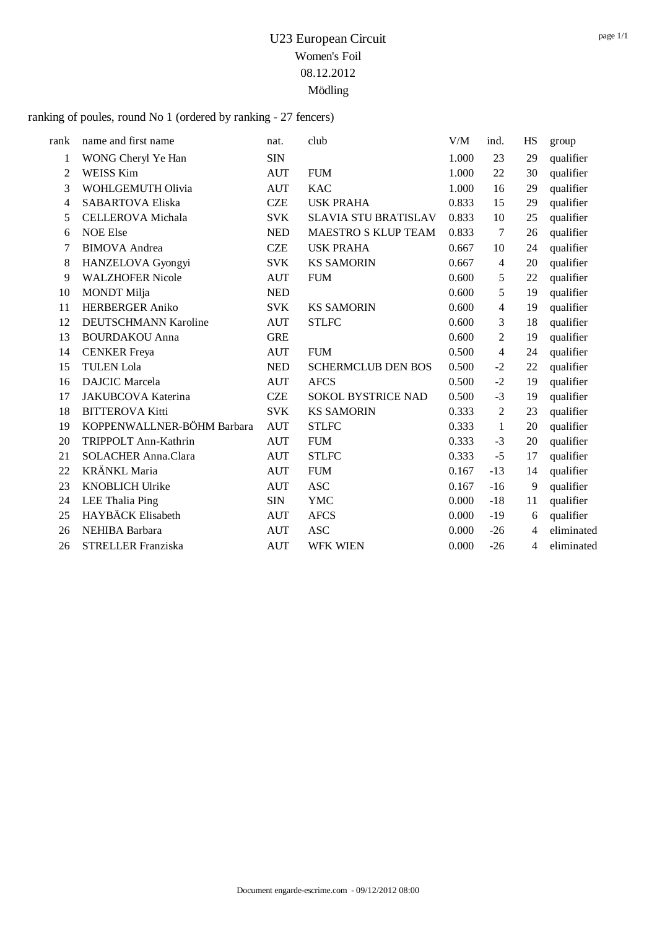ranking of poules, round No 1 (ordered by ranking - 27 fencers)

| rank           | name and first name        | nat.       | club                        | V/M   | ind.           | HS | group      |
|----------------|----------------------------|------------|-----------------------------|-------|----------------|----|------------|
| $\mathbf{1}$   | WONG Cheryl Ye Han         | <b>SIN</b> |                             | 1.000 | 23             | 29 | qualifier  |
| 2              | <b>WEISS Kim</b>           | <b>AUT</b> | <b>FUM</b>                  | 1.000 | 22             | 30 | qualifier  |
| 3              | WOHLGEMUTH Olivia          | <b>AUT</b> | <b>KAC</b>                  | 1.000 | 16             | 29 | qualifier  |
|                |                            | <b>CZE</b> |                             |       |                |    |            |
| $\overline{4}$ | <b>SABARTOVA Eliska</b>    |            | <b>USK PRAHA</b>            | 0.833 | 15             | 29 | qualifier  |
| 5              | <b>CELLEROVA</b> Michala   | <b>SVK</b> | <b>SLAVIA STU BRATISLAV</b> | 0.833 | 10             | 25 | qualifier  |
| 6              | <b>NOE Else</b>            | <b>NED</b> | <b>MAESTRO S KLUP TEAM</b>  | 0.833 | 7              | 26 | qualifier  |
| 7              | <b>BIMOVA</b> Andrea       | <b>CZE</b> | <b>USK PRAHA</b>            | 0.667 | 10             | 24 | qualifier  |
| 8              | HANZELOVA Gyongyi          | <b>SVK</b> | <b>KS SAMORIN</b>           | 0.667 | $\overline{4}$ | 20 | qualifier  |
| 9              | <b>WALZHOFER Nicole</b>    | <b>AUT</b> | <b>FUM</b>                  | 0.600 | 5              | 22 | qualifier  |
| 10             | <b>MONDT</b> Milja         | <b>NED</b> |                             | 0.600 | 5              | 19 | qualifier  |
| 11             | <b>HERBERGER Aniko</b>     | <b>SVK</b> | <b>KS SAMORIN</b>           | 0.600 | $\overline{4}$ | 19 | qualifier  |
| 12             | DEUTSCHMANN Karoline       | <b>AUT</b> | <b>STLFC</b>                | 0.600 | 3              | 18 | qualifier  |
| 13             | <b>BOURDAKOU Anna</b>      | <b>GRE</b> |                             | 0.600 | 2              | 19 | qualifier  |
| 14             | <b>CENKER</b> Freya        | <b>AUT</b> | <b>FUM</b>                  | 0.500 | $\overline{4}$ | 24 | qualifier  |
| 15             | <b>TULEN Lola</b>          | <b>NED</b> | <b>SCHERMCLUB DEN BOS</b>   | 0.500 | $-2$           | 22 | qualifier  |
| 16             | <b>DAJCIC</b> Marcela      | <b>AUT</b> | <b>AFCS</b>                 | 0.500 | $-2$           | 19 | qualifier  |
| 17             | JAKUBCOVA Katerina         | <b>CZE</b> | <b>SOKOL BYSTRICE NAD</b>   | 0.500 | $-3$           | 19 | qualifier  |
| 18             | <b>BITTEROVA Kitti</b>     | <b>SVK</b> | <b>KS SAMORIN</b>           | 0.333 | $\mathfrak{2}$ | 23 | qualifier  |
| 19             | KOPPENWALLNER-BÖHM Barbara | <b>AUT</b> | <b>STLFC</b>                | 0.333 | 1              | 20 | qualifier  |
| 20             | TRIPPOLT Ann-Kathrin       | <b>AUT</b> | <b>FUM</b>                  | 0.333 | $-3$           | 20 | qualifier  |
| 21             | <b>SOLACHER Anna.Clara</b> | <b>AUT</b> | <b>STLFC</b>                | 0.333 | $-5$           | 17 | qualifier  |
| 22             | <b>KRÄNKL Maria</b>        | <b>AUT</b> | <b>FUM</b>                  | 0.167 | $-13$          | 14 | qualifier  |
| 23             | <b>KNOBLICH Ulrike</b>     | <b>AUT</b> | <b>ASC</b>                  | 0.167 | $-16$          | 9  | qualifier  |
| 24             | <b>LEE Thalia Ping</b>     | <b>SIN</b> | <b>YMC</b>                  | 0.000 | $-18$          | 11 | qualifier  |
| 25             | HAYBÄCK Elisabeth          | <b>AUT</b> | <b>AFCS</b>                 | 0.000 | $-19$          | 6  | qualifier  |
| 26             | NEHIBA Barbara             | <b>AUT</b> | <b>ASC</b>                  | 0.000 | $-26$          | 4  | eliminated |
| 26             | <b>STRELLER Franziska</b>  | <b>AUT</b> | <b>WFK WIEN</b>             | 0.000 | $-26$          | 4  | eliminated |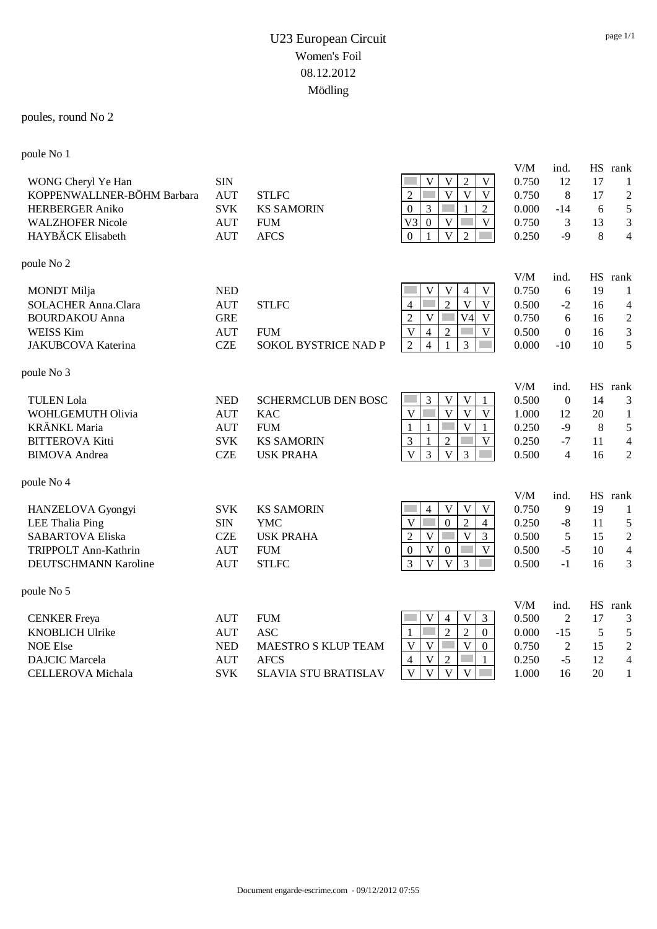#### poules, round No 2

poule No 1

| x                                                                                                                          |                                                                    |                                                                                                 |                                                                                                                                                                                                                                                                                                                                             |                                                  |                                                              |                                         |                                                                              |
|----------------------------------------------------------------------------------------------------------------------------|--------------------------------------------------------------------|-------------------------------------------------------------------------------------------------|---------------------------------------------------------------------------------------------------------------------------------------------------------------------------------------------------------------------------------------------------------------------------------------------------------------------------------------------|--------------------------------------------------|--------------------------------------------------------------|-----------------------------------------|------------------------------------------------------------------------------|
| WONG Cheryl Ye Han<br>KOPPENWALLNER-BÖHM Barbara<br><b>HERBERGER Aniko</b><br><b>WALZHOFER Nicole</b><br>HAYBÄCK Elisabeth | <b>SIN</b><br><b>AUT</b><br><b>SVK</b><br><b>AUT</b><br><b>AUT</b> | <b>STLFC</b><br><b>KS SAMORIN</b><br><b>FUM</b><br><b>AFCS</b>                                  | $\sqrt{2}$<br>$\mathbf V$<br>V<br>V<br>$\overline{\mathbf{V}}$<br>$\overline{\mathbf{V}}$<br>$\overline{2}$<br>$\mathbf{V}$<br>$\overline{2}$<br>$\overline{0}$<br>3<br>$\mathbf{1}$<br>V <sub>3</sub><br>$\mathbf{0}$<br>V<br>$\mathbf{V}$<br>$\overline{V}$<br>$\overline{2}$<br>$\mathbf{0}$                                             | V/M<br>0.750<br>0.750<br>0.000<br>0.750<br>0.250 | ind.<br>12<br>8<br>$-14$<br>3<br>$-9$                        | 17<br>17<br>6<br>13<br>8                | HS rank<br>1<br>$\mathfrak 2$<br>$\mathfrak s$<br>3<br>$\overline{4}$        |
| poule No 2                                                                                                                 |                                                                    |                                                                                                 |                                                                                                                                                                                                                                                                                                                                             |                                                  |                                                              |                                         |                                                                              |
| <b>MONDT</b> Milja<br><b>SOLACHER Anna.Clara</b><br><b>BOURDAKOU Anna</b><br><b>WEISS Kim</b><br>JAKUBCOVA Katerina        | <b>NED</b><br><b>AUT</b><br><b>GRE</b><br><b>AUT</b><br><b>CZE</b> | <b>STLFC</b><br><b>FUM</b><br><b>SOKOL BYSTRICE NAD P</b>                                       | $\mathbf V$<br>V<br>V<br>4<br>$\overline{2}$<br>$\overline{\mathbf{V}}$<br>$\mathbf V$<br>$\overline{4}$<br>$\overline{V}$<br>$\overline{2}$<br>V <sub>4</sub><br>$\mathbf V$<br>$\mathbf V$<br>$\overline{V}$<br>$\overline{2}$<br>4<br>$\overline{3}$<br>$\overline{2}$<br>$\overline{\mathcal{L}}$                                       | V/M<br>0.750<br>0.500<br>0.750<br>0.500<br>0.000 | ind.<br>6<br>$-2$<br>6<br>$\mathbf{0}$<br>$-10$              | <b>HS</b><br>19<br>16<br>16<br>16<br>10 | rank<br>1<br>4<br>$\sqrt{2}$<br>$\mathfrak{Z}$<br>5                          |
| poule No 3                                                                                                                 |                                                                    |                                                                                                 |                                                                                                                                                                                                                                                                                                                                             |                                                  |                                                              |                                         |                                                                              |
| <b>TULEN</b> Lola<br>WOHLGEMUTH Olivia<br><b>KRÄNKL</b> Maria<br><b>BITTEROVA Kitti</b><br><b>BIMOVA</b> Andrea            | <b>NED</b><br><b>AUT</b><br><b>AUT</b><br><b>SVK</b><br><b>CZE</b> | <b>SCHERMCLUB DEN BOSC</b><br><b>KAC</b><br><b>FUM</b><br><b>KS SAMORIN</b><br><b>USK PRAHA</b> | V<br>$\mathbf V$<br>3<br>$\overline{V}$<br>$\overline{V}$<br>$\overline{\mathbf{V}}$<br>$\mathbf V$<br>$\overline{\mathsf{V}}$<br>$\mathbf 1$<br>$\mathbf{1}$<br>1<br>3<br>$\mathfrak{2}$<br>$\mathbf V$<br>1<br>$\overline{3}$<br>$\overline{\mathbf{V}}$<br>$\overline{3}$<br>$\overline{V}$                                              | V/M<br>0.500<br>1.000<br>0.250<br>0.250<br>0.500 | ind.<br>$\mathbf{0}$<br>12<br>$-9$<br>$-7$<br>$\overline{4}$ | <b>HS</b><br>14<br>20<br>8<br>11<br>16  | rank<br>3<br>$\mathbf{1}$<br>5<br>$\overline{\mathcal{A}}$<br>$\overline{2}$ |
| poule No 4                                                                                                                 |                                                                    |                                                                                                 |                                                                                                                                                                                                                                                                                                                                             |                                                  |                                                              |                                         |                                                                              |
| HANZELOVA Gyongyi<br><b>LEE Thalia Ping</b><br><b>SABARTOVA Eliska</b><br>TRIPPOLT Ann-Kathrin<br>DEUTSCHMANN Karoline     | <b>SVK</b><br><b>SIN</b><br><b>CZE</b><br><b>AUT</b><br><b>AUT</b> | <b>KS SAMORIN</b><br><b>YMC</b><br><b>USK PRAHA</b><br><b>FUM</b><br><b>STLFC</b>               | V<br>$\mathbf V$<br>$\mathbf V$<br>4<br>$\overline{V}$<br>$\overline{2}$<br>$\mathbf{0}$<br>$\overline{\mathcal{L}}$<br>$\overline{V}$<br>$\overline{2}$<br>$\mathbf{V}$<br>3<br>$\boldsymbol{0}$<br>$\mathbf V$<br>V<br>$\theta$<br>3<br>$\overline{V}$<br>3<br>$\overline{V}$                                                             | V/M<br>0.750<br>0.250<br>0.500<br>0.500<br>0.500 | ind.<br>9<br>$-8$<br>5<br>$-5$<br>$-1$                       | 19<br>11<br>15<br>10<br>16              | HS rank<br>$\mathbf{1}$<br>5<br>$\sqrt{2}$<br>$\overline{4}$<br>3            |
| poule No 5                                                                                                                 |                                                                    |                                                                                                 |                                                                                                                                                                                                                                                                                                                                             |                                                  |                                                              |                                         |                                                                              |
| <b>CENKER</b> Freya<br><b>KNOBLICH Ulrike</b><br><b>NOE Else</b><br><b>DAJCIC</b> Marcela                                  | <b>AUT</b><br><b>AUT</b><br><b>NED</b><br><b>AUT</b>               | <b>FUM</b><br><b>ASC</b><br><b>MAESTRO S KLUP TEAM</b><br><b>AFCS</b>                           | $\mathbf V$<br>$\mathfrak{Z}$<br>V<br>$\overline{4}$<br>$\overline{2}$<br>$\overline{2}$<br>$\boldsymbol{0}$<br>$\mathbf{1}$<br>$\mathbf{V}$<br>$\mathbf{V}$<br>$\overline{V}$<br>$\mathbf{0}$<br>$\mathbf V$<br>$\overline{c}$<br>$\overline{4}$<br>$\overline{\mathbf{V}}$<br>$\overline{V}$<br>$\overline{\mathbf{V}}$<br>$\overline{V}$ | V/M<br>0.500<br>0.000<br>0.750<br>0.250          | ind.<br>$\overline{2}$<br>$-15$<br>$\overline{2}$<br>$-5$    | <b>HS</b><br>17<br>5<br>15<br>12        | rank<br>3<br>5<br>$\overline{2}$<br>$\overline{4}$                           |
| <b>CELLEROVA</b> Michala                                                                                                   | <b>SVK</b>                                                         | <b>SLAVIA STU BRATISLAV</b>                                                                     |                                                                                                                                                                                                                                                                                                                                             | 1.000                                            | 16                                                           | 20                                      | 1                                                                            |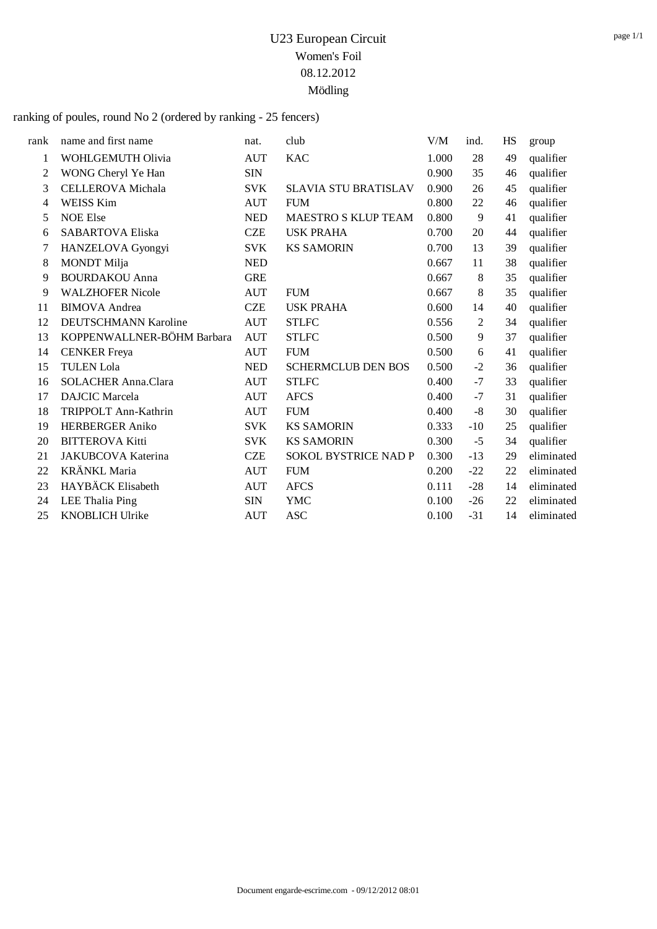ranking of poules, round No 2 (ordered by ranking - 25 fencers)

| rank | name and first name         | nat.       | club                        | V/M   | ind.  | HS | group      |
|------|-----------------------------|------------|-----------------------------|-------|-------|----|------------|
| 1    | WOHLGEMUTH Olivia           | <b>AUT</b> | <b>KAC</b>                  | 1.000 | 28    | 49 | qualifier  |
| 2    | WONG Cheryl Ye Han          | <b>SIN</b> |                             | 0.900 | 35    | 46 | qualifier  |
| 3    | <b>CELLEROVA</b> Michala    | <b>SVK</b> | <b>SLAVIA STU BRATISLAV</b> | 0.900 | 26    | 45 | qualifier  |
| 4    | <b>WEISS Kim</b>            | <b>AUT</b> | <b>FUM</b>                  | 0.800 | 22    | 46 |            |
| 5    | <b>NOE Else</b>             | <b>NED</b> |                             | 0.800 | 9     |    | qualifier  |
|      |                             |            | MAESTRO S KLUP TEAM         |       |       | 41 | qualifier  |
| 6    | <b>SABARTOVA Eliska</b>     | <b>CZE</b> | <b>USK PRAHA</b>            | 0.700 | 20    | 44 | qualifier  |
| 7    | HANZELOVA Gyongyi           | <b>SVK</b> | <b>KS SAMORIN</b>           | 0.700 | 13    | 39 | qualifier  |
| 8    | <b>MONDT</b> Milja          | <b>NED</b> |                             | 0.667 | 11    | 38 | qualifier  |
| 9    | <b>BOURDAKOU Anna</b>       | <b>GRE</b> |                             | 0.667 | 8     | 35 | qualifier  |
| 9    | <b>WALZHOFER Nicole</b>     | <b>AUT</b> | <b>FUM</b>                  | 0.667 | 8     | 35 | qualifier  |
| 11   | <b>BIMOVA</b> Andrea        | <b>CZE</b> | <b>USK PRAHA</b>            | 0.600 | 14    | 40 | qualifier  |
| 12   | <b>DEUTSCHMANN Karoline</b> | <b>AUT</b> | <b>STLFC</b>                | 0.556 | 2     | 34 | qualifier  |
| 13   | KOPPENWALLNER-BÖHM Barbara  | <b>AUT</b> | <b>STLFC</b>                | 0.500 | 9     | 37 | qualifier  |
| 14   | <b>CENKER</b> Freya         | <b>AUT</b> | <b>FUM</b>                  | 0.500 | 6     | 41 | qualifier  |
| 15   | <b>TULEN Lola</b>           | <b>NED</b> | <b>SCHERMCLUB DEN BOS</b>   | 0.500 | $-2$  | 36 | qualifier  |
| 16   | <b>SOLACHER Anna.Clara</b>  | AUT        | <b>STLFC</b>                | 0.400 | $-7$  | 33 | qualifier  |
| 17   | <b>DAJCIC</b> Marcela       | <b>AUT</b> | <b>AFCS</b>                 | 0.400 | $-7$  | 31 | qualifier  |
| 18   | TRIPPOLT Ann-Kathrin        | AUT        | <b>FUM</b>                  | 0.400 | $-8$  | 30 | qualifier  |
| 19   | <b>HERBERGER Aniko</b>      | <b>SVK</b> | <b>KS SAMORIN</b>           | 0.333 | $-10$ | 25 | qualifier  |
| 20   | <b>BITTEROVA Kitti</b>      | <b>SVK</b> | <b>KS SAMORIN</b>           | 0.300 | $-5$  | 34 | qualifier  |
| 21   | JAKUBCOVA Katerina          | <b>CZE</b> | <b>SOKOL BYSTRICE NAD P</b> | 0.300 | $-13$ | 29 | eliminated |
| 22   | <b>KRÄNKL Maria</b>         | <b>AUT</b> | <b>FUM</b>                  | 0.200 | $-22$ | 22 | eliminated |
| 23   | HAYBÄCK Elisabeth           | <b>AUT</b> | <b>AFCS</b>                 | 0.111 | $-28$ | 14 | eliminated |
| 24   | LEE Thalia Ping             | <b>SIN</b> | <b>YMC</b>                  | 0.100 | $-26$ | 22 | eliminated |
| 25   | <b>KNOBLICH Ulrike</b>      | <b>AUT</b> | <b>ASC</b>                  | 0.100 | $-31$ | 14 | eliminated |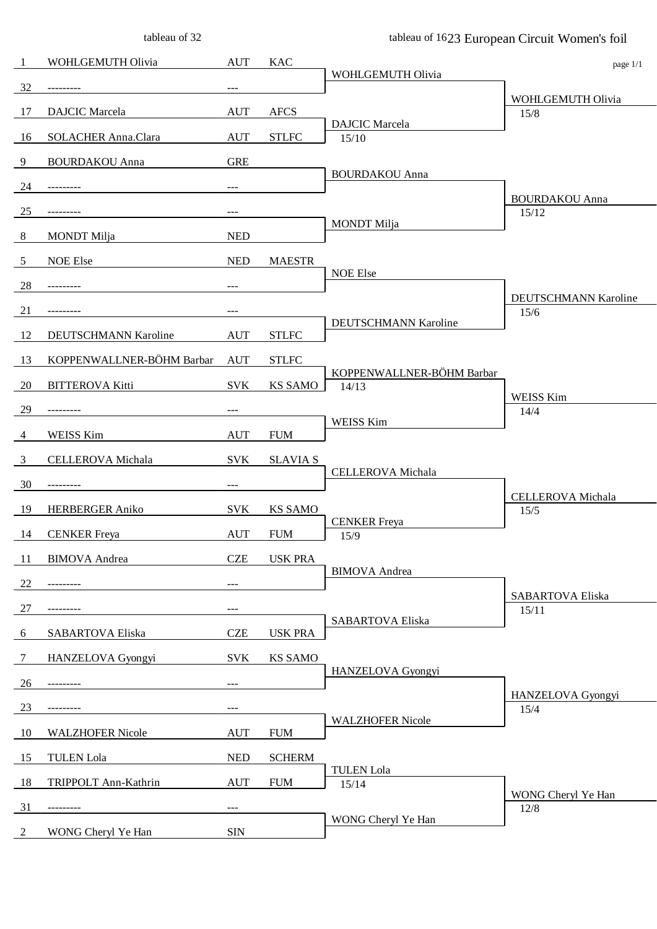tableau of 32

tableau of 1623 European Circuit Women's foil

| 1               | WOHLGEMUTH Olivia         | <b>AUT</b> | <b>KAC</b>      |                                    | page 1/1                     |
|-----------------|---------------------------|------------|-----------------|------------------------------------|------------------------------|
| 32              | ---------                 | ---        |                 | WOHLGEMUTH Olivia                  |                              |
| 17              | <b>DAJCIC</b> Marcela     | <b>AUT</b> | <b>AFCS</b>     |                                    | WOHLGEMUTH Olivia<br>15/8    |
| 16              | SOLACHER Anna.Clara       | <b>AUT</b> | <b>STLFC</b>    | <b>DAJCIC</b> Marcela<br>15/10     |                              |
| 9               | <b>BOURDAKOU</b> Anna     | <b>GRE</b> |                 |                                    |                              |
| 24              |                           |            |                 | <b>BOURDAKOU Anna</b>              |                              |
|                 |                           | ---        |                 |                                    | <b>BOURDAKOU Anna</b>        |
| 25              | ---------                 | ---        |                 | <b>MONDT</b> Milja                 | 15/12                        |
| $8\phantom{.0}$ | <b>MONDT</b> Milja        | <b>NED</b> |                 |                                    |                              |
| 5               | <b>NOE Else</b>           | <b>NED</b> | <b>MAESTR</b>   | <b>NOE Else</b>                    |                              |
| 28              | ---------                 | $---$      |                 |                                    |                              |
| 21              | ---------                 | ---        |                 |                                    | DEUTSCHMANN Karoline<br>15/6 |
| 12              | DEUTSCHMANN Karoline      | <b>AUT</b> | <b>STLFC</b>    | DEUTSCHMANN Karoline               |                              |
| 13              | KOPPENWALLNER-BÖHM Barbar | <b>AUT</b> | <b>STLFC</b>    |                                    |                              |
| 20              | <b>BITTEROVA Kitti</b>    | <b>SVK</b> | <b>KS SAMO</b>  | KOPPENWALLNER-BÖHM Barbar<br>14/13 |                              |
|                 |                           |            |                 |                                    | <b>WEISS Kim</b>             |
| 29              | ---------                 | ---        |                 | WEISS Kim                          | 14/4                         |
| $\overline{4}$  | <b>WEISS Kim</b>          | <b>AUT</b> | <b>FUM</b>      |                                    |                              |
| 3               | CELLEROVA Michala         | <b>SVK</b> | <b>SLAVIA S</b> | CELLEROVA Michala                  |                              |
| 30              | ---------                 | $---$      |                 |                                    | <b>CELLEROVA</b> Michala     |
| 19              | <b>HERBERGER Aniko</b>    | <b>SVK</b> | <b>KS SAMO</b>  |                                    | 15/5                         |
| 14              | <b>CENKER</b> Freya       | <b>AUT</b> | <b>FUM</b>      | <b>CENKER Freya</b><br>15/9        |                              |
| 11              | <b>BIMOVA</b> Andrea      | <b>CZE</b> | <b>USK PRA</b>  |                                    |                              |
| 22              |                           | $---$      |                 | <b>BIMOVA</b> Andrea               |                              |
| 27              |                           | ---        |                 |                                    | <b>SABARTOVA Eliska</b>      |
|                 |                           |            |                 | <b>SABARTOVA Eliska</b>            | 15/11                        |
| 6               | SABARTOVA Eliska          | <b>CZE</b> | <b>USK PRA</b>  |                                    |                              |
| 7               | HANZELOVA Gyongyi         | <b>SVK</b> | <b>KS SAMO</b>  | HANZELOVA Gyongyi                  |                              |
| 26              |                           | $---$      |                 |                                    | HANZELOVA Gyongyi            |
| 23              | ---------                 | $---$      |                 | <b>WALZHOFER Nicole</b>            | 15/4                         |
| 10              | <b>WALZHOFER Nicole</b>   | <b>AUT</b> | <b>FUM</b>      |                                    |                              |
| 15              | <b>TULEN</b> Lola         | <b>NED</b> | <b>SCHERM</b>   |                                    |                              |
| 18              | TRIPPOLT Ann-Kathrin      | <b>AUT</b> | <b>FUM</b>      | <b>TULEN</b> Lola<br>15/14         |                              |
| 31              | ---------                 | $---$      |                 |                                    | WONG Cheryl Ye Han<br>12/8   |
| $\overline{2}$  | WONG Cheryl Ye Han        | <b>SIN</b> |                 | WONG Cheryl Ye Han                 |                              |
|                 |                           |            |                 |                                    |                              |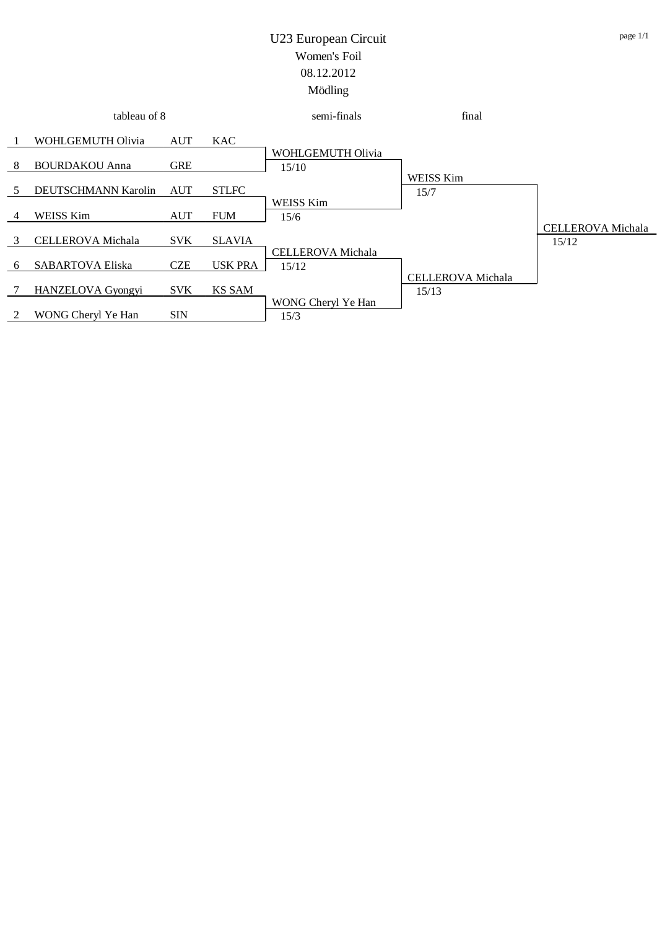| tableau of 8 |                          |            |                | semi-finals                       | final                             |                                   |
|--------------|--------------------------|------------|----------------|-----------------------------------|-----------------------------------|-----------------------------------|
|              | WOHLGEMUTH Olivia        | <b>AUT</b> | <b>KAC</b>     |                                   |                                   |                                   |
| -8           | <b>BOURDAKOU Anna</b>    | <b>GRE</b> |                | WOHLGEMUTH Olivia<br>15/10        |                                   |                                   |
|              | DEUTSCHMANN Karolin      | <b>AUT</b> | <b>STLFC</b>   |                                   | WEISS Kim<br>15/7                 |                                   |
|              | <b>WEISS Kim</b>         | <b>AUT</b> | <b>FUM</b>     | <b>WEISS Kim</b><br>15/6          |                                   |                                   |
|              | <b>CELLEROVA</b> Michala | <b>SVK</b> | <b>SLAVIA</b>  |                                   |                                   | <b>CELLEROVA</b> Michala<br>15/12 |
| <sub>6</sub> | <b>SABARTOVA Eliska</b>  | <b>CZE</b> | <b>USK PRA</b> | <b>CELLEROVA</b> Michala<br>15/12 |                                   |                                   |
|              | HANZELOVA Gyongyi        | <b>SVK</b> | <b>KS SAM</b>  |                                   | <b>CELLEROVA</b> Michala<br>15/13 |                                   |
|              | WONG Cheryl Ye Han       | <b>SIN</b> |                | WONG Cheryl Ye Han<br>15/3        |                                   |                                   |
|              |                          |            |                |                                   |                                   |                                   |